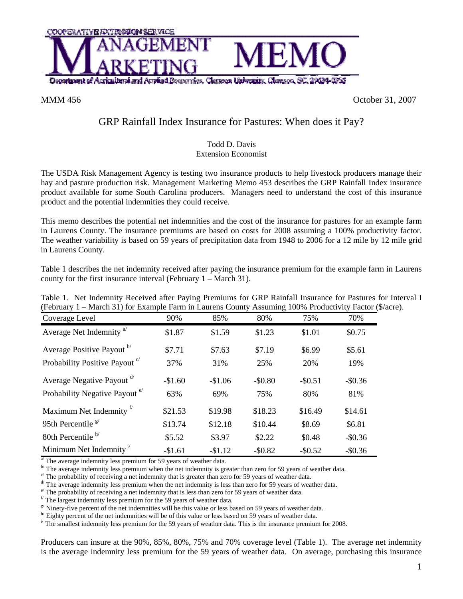

MMM 456 October 31, 2007

## GRP Rainfall Index Insurance for Pastures: When does it Pay?

## Todd D. Davis Extension Economist

The USDA Risk Management Agency is testing two insurance products to help livestock producers manage their hay and pasture production risk. Management Marketing Memo 453 describes the GRP Rainfall Index insurance product available for some South Carolina producers. Managers need to understand the cost of this insurance product and the potential indemnities they could receive.

This memo describes the potential net indemnities and the cost of the insurance for pastures for an example farm in Laurens County. The insurance premiums are based on costs for 2008 assuming a 100% productivity factor. The weather variability is based on 59 years of precipitation data from 1948 to 2006 for a 12 mile by 12 mile grid in Laurens County.

Table 1 describes the net indemnity received after paying the insurance premium for the example farm in Laurens county for the first insurance interval (February 1 – March 31).

| (February 1 – March 31) for Example Farm in Laurens County Assuming 100% Productivity Factor |          |          |          |            |            |
|----------------------------------------------------------------------------------------------|----------|----------|----------|------------|------------|
| Coverage Level                                                                               | 90%      | 85%      | 80%      | 75%        | 70%        |
| Average Net Indemnity <sup>a</sup>                                                           | \$1.87   | \$1.59   | \$1.23   | \$1.01     | \$0.75     |
| Average Positive Payout b/                                                                   | \$7.71   | \$7.63   | \$7.19   | \$6.99     | \$5.61     |
| Probability Positive Payout <sup>c</sup>                                                     | 37%      | 31%      | 25%      | 20%        | 19%        |
| Average Negative Payout d'                                                                   | $-$1.60$ | $-$1.06$ | $-$0.80$ | $-$ \$0.51 | $-$0.36$   |
| Probability Negative Payout <sup>e</sup>                                                     | 63%      | 69%      | 75%      | 80%        | 81%        |
| Maximum Net Indemnity <sup>t</sup>                                                           | \$21.53  | \$19.98  | \$18.23  | \$16.49    | \$14.61    |
| 95th Percentile $\frac{g}{g}$                                                                | \$13.74  | \$12.18  | \$10.44  | \$8.69     | \$6.81     |
| 80th Percentile $h$                                                                          | \$5.52   | \$3.97   | \$2.22   | \$0.48     | $-$ \$0.36 |
| Minimum Net Indemnity <sup><math>1</math></sup>                                              | $-$1.61$ | $-$1.12$ | $-$0.82$ | $-$0.52$   | $-$0.36$   |

Table 1. Net Indemnity Received after Paying Premiums for GRP Rainfall Insurance for Pastures for Interval I (February 1 – March 31) for Example Farm in Laurens County Assuming 100% Productivity Factor (\$/acre).

The average indemnity less premium for 59 years of weather data.<br>
<sup>b</sup> The average indemnity less premium when the net indemnity is greater than zero for 59 years of weather data.<br>
c' The probability of receiving a net ind

<sup>e</sup> The probability of receiving a net indemnity that is less than zero for 59 years of weather data.  $\frac{f}{f}$  The largest indemnity less premium for the 59 years of weather data.

 $g$ <sup>y</sup> Ninety-five percent of the net indemnities will be this value or less based on 59 years of weather data.

Eighty percent of the net indemnities will be of this value or less based on 59 years of weather data.

 $\mu$ <sup>T</sup> The smallest indemnity less premium for the 59 years of weather data. This is the insurance premium for 2008.

Producers can insure at the 90%, 85%, 80%, 75% and 70% coverage level (Table 1). The average net indemnity is the average indemnity less premium for the 59 years of weather data. On average, purchasing this insurance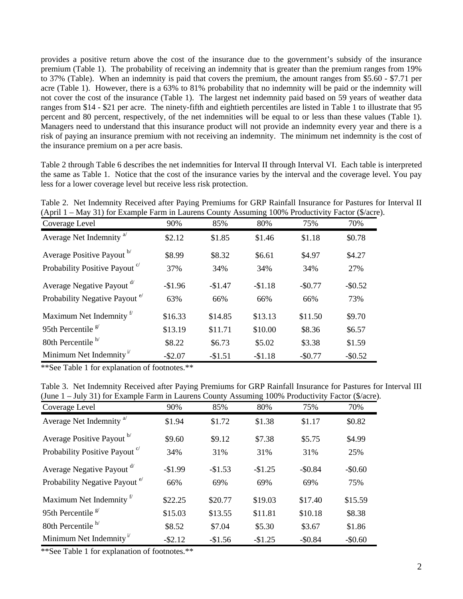provides a positive return above the cost of the insurance due to the government's subsidy of the insurance premium (Table 1). The probability of receiving an indemnity that is greater than the premium ranges from 19% to 37% (Table). When an indemnity is paid that covers the premium, the amount ranges from \$5.60 - \$7.71 per acre (Table 1). However, there is a 63% to 81% probability that no indemnity will be paid or the indemnity will not cover the cost of the insurance (Table 1). The largest net indemnity paid based on 59 years of weather data ranges from \$14 - \$21 per acre. The ninety-fifth and eightieth percentiles are listed in Table 1 to illustrate that 95 percent and 80 percent, respectively, of the net indemnities will be equal to or less than these values (Table 1). Managers need to understand that this insurance product will not provide an indemnity every year and there is a risk of paying an insurance premium with not receiving an indemnity. The minimum net indemnity is the cost of the insurance premium on a per acre basis.

Table 2 through Table 6 describes the net indemnities for Interval II through Interval VI. Each table is interpreted the same as Table 1. Notice that the cost of the insurance varies by the interval and the coverage level. You pay less for a lower coverage level but receive less risk protection.

| Table 2. Net Indemnity Received after Paying Premiums for GRP Rainfall Insurance for Pastures for Interval II |  |  |  |  |
|---------------------------------------------------------------------------------------------------------------|--|--|--|--|
| (April 1 – May 31) for Example Farm in Laurens County Assuming 100% Productivity Factor (\$/acre).            |  |  |  |  |

| $\alpha$ -pin $\alpha$ -nas $\alpha$ is a manipulate $\alpha$<br>Coverage Level | 90%        | 85%       | 80%      | 75%      | 70%      |
|---------------------------------------------------------------------------------|------------|-----------|----------|----------|----------|
| Average Net Indemnity <sup>a</sup>                                              | \$2.12     | \$1.85    | \$1.46   | \$1.18   | \$0.78   |
| Average Positive Payout b/                                                      | \$8.99     | \$8.32    | \$6.61   | \$4.97   | \$4.27   |
| Probability Positive Payout <sup>c</sup>                                        | 37%        | 34%       | 34%      | 34%      | 27%      |
| Average Negative Payout d'                                                      | $-\$1.96$  | $-\$1.47$ | $-$1.18$ | $-$0.77$ | $-$0.52$ |
| Probability Negative Payout <sup>e/</sup>                                       | 63%        | 66%       | 66%      | 66%      | 73%      |
| Maximum Net Indemnity <sup>17</sup>                                             | \$16.33    | \$14.85   | \$13.13  | \$11.50  | \$9.70   |
| 95th Percentile $\frac{g}{g}$                                                   | \$13.19    | \$11.71   | \$10.00  | \$8.36   | \$6.57   |
| 80th Percentile <sup>h/</sup>                                                   | \$8.22     | \$6.73    | \$5.02   | \$3.38   | \$1.59   |
| Minimum Net Indemnity <sup>1</sup>                                              | $-$ \$2.07 | $-$1.51$  | $-$1.18$ | $-$0.77$ | $-$0.52$ |

\*\*See Table 1 for explanation of footnotes.\*\*

|  | Table 3. Net Indemnity Received after Paying Premiums for GRP Rainfall Insurance for Pastures for Interval III |  |  |  |
|--|----------------------------------------------------------------------------------------------------------------|--|--|--|
|  | (June 1 – July 31) for Example Farm in Laurens County Assuming 100% Productivity Factor (\$/acre).             |  |  |  |

| Coverage Level                           | 90%        | 85%      | 80%      | 75%      | 70%      |
|------------------------------------------|------------|----------|----------|----------|----------|
| Average Net Indemnity <sup>a</sup>       | \$1.94     | \$1.72   | \$1.38   | \$1.17   | \$0.82   |
| Average Positive Payout b                | \$9.60     | \$9.12   | \$7.38   | \$5.75   | \$4.99   |
| Probability Positive Payout <sup>c</sup> | 34%        | 31%      | 31%      | 31%      | 25%      |
| Average Negative Payout d'               | $-$1.99$   | $-$1.53$ | $-$1.25$ | $-$0.84$ | $-$0.60$ |
| Probability Negative Payout <sup>e</sup> | 66%        | 69%      | 69%      | 69%      | 75%      |
| Maximum Net Indemnity <sup>f</sup>       | \$22.25    | \$20.77  | \$19.03  | \$17.40  | \$15.59  |
| 95th Percentile $g$                      | \$15.03    | \$13.55  | \$11.81  | \$10.18  | \$8.38   |
| 80th Percentile $h$                      | \$8.52     | \$7.04   | \$5.30   | \$3.67   | \$1.86   |
| Minimum Net Indemnity <sup>1</sup>       | $-$ \$2.12 | $-$1.56$ | $-$1.25$ | $-$0.84$ | $-$0.60$ |

\*\*See Table 1 for explanation of footnotes.\*\*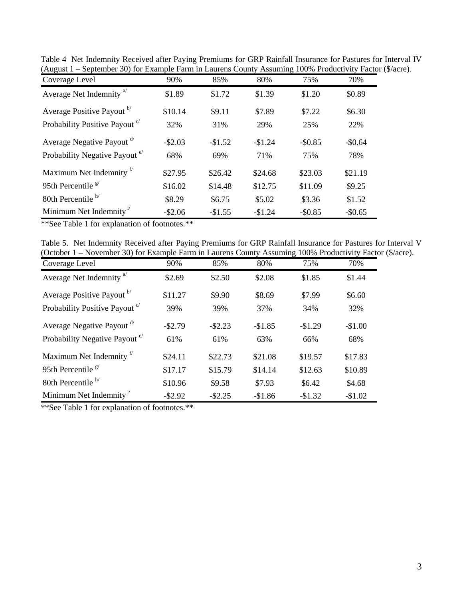| Coverage Level                                  | 90%        | 85%      | 80%       | 75%      | 70%      |
|-------------------------------------------------|------------|----------|-----------|----------|----------|
| Average Net Indemnity <sup>a</sup>              | \$1.89     | \$1.72   | \$1.39    | \$1.20   | \$0.89   |
| Average Positive Payout b                       | \$10.14    | \$9.11   | \$7.89    | \$7.22   | \$6.30   |
| Probability Positive Payout <sup>c/</sup>       | 32%        | 31%      | 29%       | 25%      | 22%      |
| Average Negative Payout d'                      | $-$ \$2.03 | $-$1.52$ | $-\$1.24$ | $-$0.85$ | $-$0.64$ |
| Probability Negative Payout <sup>e/</sup>       | 68%        | 69%      | 71%       | 75%      | 78%      |
| Maximum Net Indemnity <sup>f</sup>              | \$27.95    | \$26.42  | \$24.68   | \$23.03  | \$21.19  |
| 95th Percentile $g$                             | \$16.02    | \$14.48  | \$12.75   | \$11.09  | \$9.25   |
| 80th Percentile <sup>h/</sup>                   | \$8.29     | \$6.75   | \$5.02    | \$3.36   | \$1.52   |
| Minimum Net Indemnity <sup><math>1</math></sup> | $-$ \$2.06 | $-$1.55$ | $-$1.24$  | $-$0.85$ | $-$0.65$ |

Table 4 Net Indemnity Received after Paying Premiums for GRP Rainfall Insurance for Pastures for Interval IV (August 1 – September 30) for Example Farm in Laurens County Assuming 100% Productivity Factor (\$/acre).

\*\*See Table 1 for explanation of footnotes.\*\*

| Table 5. Net Indemnity Received after Paying Premiums for GRP Rainfall Insurance for Pastures for Interval V |  |  |  |  |  |
|--------------------------------------------------------------------------------------------------------------|--|--|--|--|--|
| (October 1 – November 30) for Example Farm in Laurens County Assuming 100% Productivity Factor (\$/acre).    |  |  |  |  |  |

| Coverage Level                            | 90%        | 85%        | 80%      | 75%      | 70%      |
|-------------------------------------------|------------|------------|----------|----------|----------|
| Average Net Indemnity <sup>a</sup>        | \$2.69     | \$2.50     | \$2.08   | \$1.85   | \$1.44   |
| Average Positive Payout b                 | \$11.27    | \$9.90     | \$8.69   | \$7.99   | \$6.60   |
| Probability Positive Payout <sup>c</sup>  | 39%        | 39%        | 37%      | 34%      | 32%      |
| Average Negative Payout <sup>d/</sup>     | $-$ \$2.79 | $-$ \$2.23 | $-$1.85$ | $-$1.29$ | $-$1.00$ |
| Probability Negative Payout <sup>e/</sup> | 61%        | 61%        | 63%      | 66%      | 68%      |
| Maximum Net Indemnity <sup>f</sup>        | \$24.11    | \$22.73    | \$21.08  | \$19.57  | \$17.83  |
| 95th Percentile $\frac{g}{g}$             | \$17.17    | \$15.79    | \$14.14  | \$12.63  | \$10.89  |
| 80th Percentile <sup>h/</sup>             | \$10.96    | \$9.58     | \$7.93   | \$6.42   | \$4.68   |
| Minimum Net Indemnity <sup>i</sup>        | $-$ \$2.92 | $-$ \$2.25 | $-$1.86$ | $-$1.32$ | $-$1.02$ |

\*\*See Table 1 for explanation of footnotes.\*\*